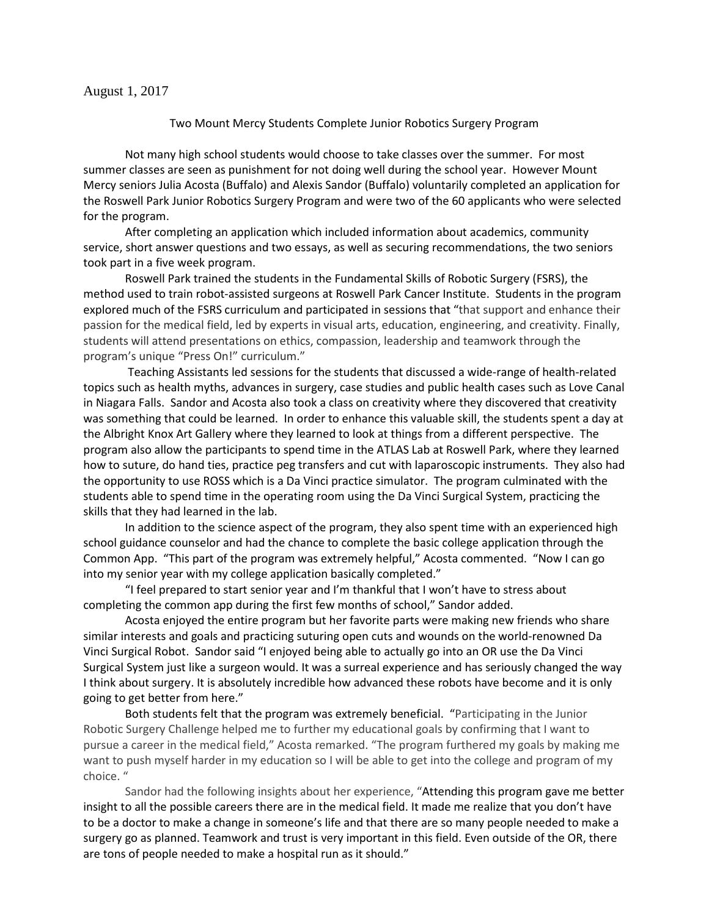## August 1, 2017

## Two Mount Mercy Students Complete Junior Robotics Surgery Program

Not many high school students would choose to take classes over the summer. For most summer classes are seen as punishment for not doing well during the school year. However Mount Mercy seniors Julia Acosta (Buffalo) and Alexis Sandor (Buffalo) voluntarily completed an application for the Roswell Park Junior Robotics Surgery Program and were two of the 60 applicants who were selected for the program.

After completing an application which included information about academics, community service, short answer questions and two essays, as well as securing recommendations, the two seniors took part in a five week program.

Roswell Park trained the students in the Fundamental Skills of Robotic Surgery (FSRS), the method used to train robot-assisted surgeons at Roswell Park Cancer Institute. Students in the program explored much of the FSRS curriculum and participated in sessions that "that support and enhance their passion for the medical field, led by experts in visual arts, education, engineering, and creativity. Finally, students will attend presentations on ethics, compassion, leadership and teamwork through the program's unique "Press On!" curriculum."

Teaching Assistants led sessions for the students that discussed a wide-range of health-related topics such as health myths, advances in surgery, case studies and public health cases such as Love Canal in Niagara Falls. Sandor and Acosta also took a class on creativity where they discovered that creativity was something that could be learned. In order to enhance this valuable skill, the students spent a day at the Albright Knox Art Gallery where they learned to look at things from a different perspective. The program also allow the participants to spend time in the ATLAS Lab at Roswell Park, where they learned how to suture, do hand ties, practice peg transfers and cut with laparoscopic instruments. They also had the opportunity to use ROSS which is a Da Vinci practice simulator. The program culminated with the students able to spend time in the operating room using the Da Vinci Surgical System, practicing the skills that they had learned in the lab.

In addition to the science aspect of the program, they also spent time with an experienced high school guidance counselor and had the chance to complete the basic college application through the Common App. "This part of the program was extremely helpful," Acosta commented. "Now I can go into my senior year with my college application basically completed."

"I feel prepared to start senior year and I'm thankful that I won't have to stress about completing the common app during the first few months of school," Sandor added.

Acosta enjoyed the entire program but her favorite parts were making new friends who share similar interests and goals and practicing suturing open cuts and wounds on the world-renowned Da Vinci Surgical Robot. Sandor said "I enjoyed being able to actually go into an OR use the Da Vinci Surgical System just like a surgeon would. It was a surreal experience and has seriously changed the way I think about surgery. It is absolutely incredible how advanced these robots have become and it is only going to get better from here."

Both students felt that the program was extremely beneficial. "Participating in the Junior Robotic Surgery Challenge helped me to further my educational goals by confirming that I want to pursue a career in the medical field," Acosta remarked. "The program furthered my goals by making me want to push myself harder in my education so I will be able to get into the college and program of my choice. "

Sandor had the following insights about her experience, "Attending this program gave me better insight to all the possible careers there are in the medical field. It made me realize that you don't have to be a doctor to make a change in someone's life and that there are so many people needed to make a surgery go as planned. Teamwork and trust is very important in this field. Even outside of the OR, there are tons of people needed to make a hospital run as it should."